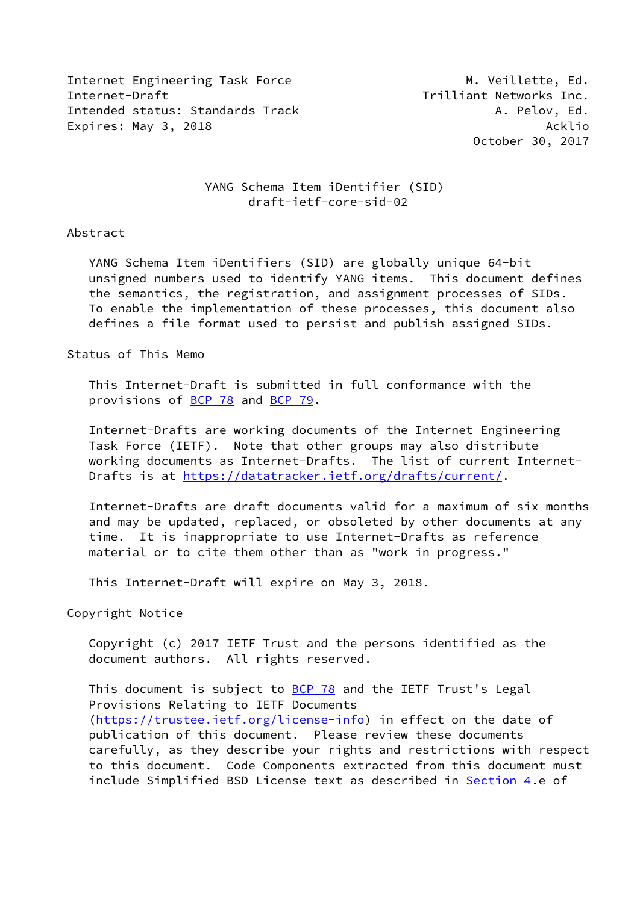Internet Engineering Task Force M. Weillette, Ed. Internet-Draft Trilliant Networks Inc. Intended status: Standards Track A. Pelov, Ed. Expires: May 3, 2018 **Acklin** 2018

October 30, 2017

# YANG Schema Item iDentifier (SID) draft-ietf-core-sid-02

## Abstract

 YANG Schema Item iDentifiers (SID) are globally unique 64-bit unsigned numbers used to identify YANG items. This document defines the semantics, the registration, and assignment processes of SIDs. To enable the implementation of these processes, this document also defines a file format used to persist and publish assigned SIDs.

# Status of This Memo

 This Internet-Draft is submitted in full conformance with the provisions of [BCP 78](https://datatracker.ietf.org/doc/pdf/bcp78) and [BCP 79](https://datatracker.ietf.org/doc/pdf/bcp79).

 Internet-Drafts are working documents of the Internet Engineering Task Force (IETF). Note that other groups may also distribute working documents as Internet-Drafts. The list of current Internet- Drafts is at<https://datatracker.ietf.org/drafts/current/>.

 Internet-Drafts are draft documents valid for a maximum of six months and may be updated, replaced, or obsoleted by other documents at any time. It is inappropriate to use Internet-Drafts as reference material or to cite them other than as "work in progress."

This Internet-Draft will expire on May 3, 2018.

Copyright Notice

 Copyright (c) 2017 IETF Trust and the persons identified as the document authors. All rights reserved.

This document is subject to **[BCP 78](https://datatracker.ietf.org/doc/pdf/bcp78)** and the IETF Trust's Legal Provisions Relating to IETF Documents [\(https://trustee.ietf.org/license-info](https://trustee.ietf.org/license-info)) in effect on the date of publication of this document. Please review these documents carefully, as they describe your rights and restrictions with respect to this document. Code Components extracted from this document must include Simplified BSD License text as described in [Section 4.](#page-6-0)e of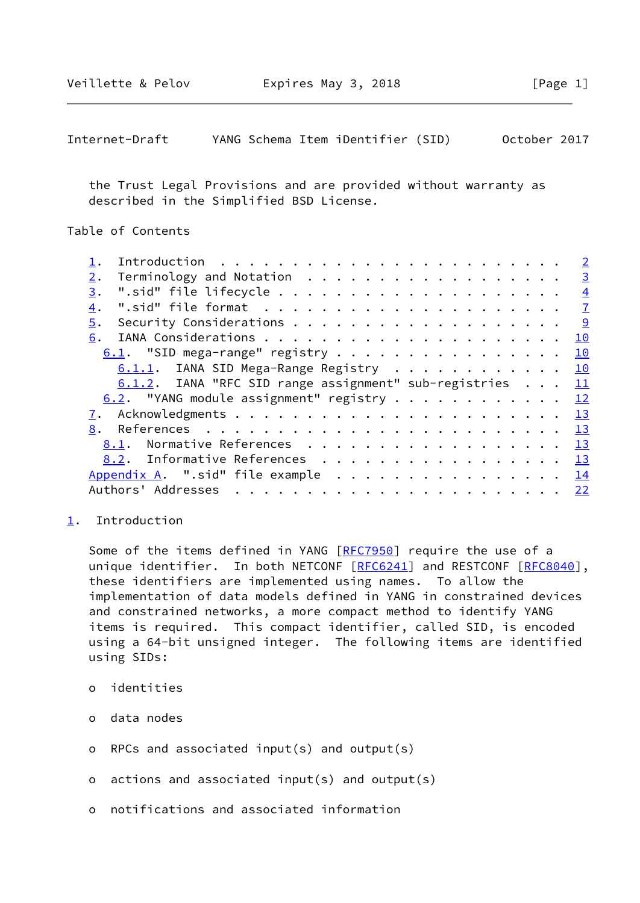<span id="page-1-1"></span>

| Internet-Draft |  | YANG Schema Item iDentifier (SID) |  | October 2017 |  |
|----------------|--|-----------------------------------|--|--------------|--|
|----------------|--|-----------------------------------|--|--------------|--|

 the Trust Legal Provisions and are provided without warranty as described in the Simplified BSD License.

Table of Contents

|                  |                                                          |  |  |  |  |  |  |  |  |  |  |  | $\overline{2}$          |
|------------------|----------------------------------------------------------|--|--|--|--|--|--|--|--|--|--|--|-------------------------|
| 2.               | Terminology and Notation                                 |  |  |  |  |  |  |  |  |  |  |  | $\overline{\mathbf{3}}$ |
| 3.               |                                                          |  |  |  |  |  |  |  |  |  |  |  | $\overline{4}$          |
| $\overline{4}$ . |                                                          |  |  |  |  |  |  |  |  |  |  |  | $\overline{1}$          |
| 5.               |                                                          |  |  |  |  |  |  |  |  |  |  |  |                         |
| 6.               |                                                          |  |  |  |  |  |  |  |  |  |  |  | 10                      |
|                  | $6.1$ . "SID mega-range" registry                        |  |  |  |  |  |  |  |  |  |  |  | 10                      |
|                  | 6.1.1. IANA SID Mega-Range Registry 10                   |  |  |  |  |  |  |  |  |  |  |  |                         |
|                  |                                                          |  |  |  |  |  |  |  |  |  |  |  |                         |
|                  | 6.1.2. IANA "RFC SID range assignment" sub-registries 11 |  |  |  |  |  |  |  |  |  |  |  |                         |
|                  | 6.2. "YANG module assignment" registry 12                |  |  |  |  |  |  |  |  |  |  |  |                         |
|                  |                                                          |  |  |  |  |  |  |  |  |  |  |  |                         |
| 8.               |                                                          |  |  |  |  |  |  |  |  |  |  |  |                         |
|                  | 8.1. Normative References 13                             |  |  |  |  |  |  |  |  |  |  |  |                         |
|                  | 8.2. Informative References 13                           |  |  |  |  |  |  |  |  |  |  |  |                         |
|                  | Appendix A. ".sid" file example 14                       |  |  |  |  |  |  |  |  |  |  |  |                         |
|                  |                                                          |  |  |  |  |  |  |  |  |  |  |  |                         |

### <span id="page-1-0"></span>[1](#page-1-0). Introduction

Some of the items defined in YANG [[RFC7950](https://datatracker.ietf.org/doc/pdf/rfc7950)] require the use of a unique identifier. In both NETCONF [\[RFC6241](https://datatracker.ietf.org/doc/pdf/rfc6241)] and RESTCONF [[RFC8040\]](https://datatracker.ietf.org/doc/pdf/rfc8040), these identifiers are implemented using names. To allow the implementation of data models defined in YANG in constrained devices and constrained networks, a more compact method to identify YANG items is required. This compact identifier, called SID, is encoded using a 64-bit unsigned integer. The following items are identified using SIDs:

- o identities
- o data nodes
- o RPCs and associated input(s) and output(s)
- o actions and associated input(s) and output(s)
- o notifications and associated information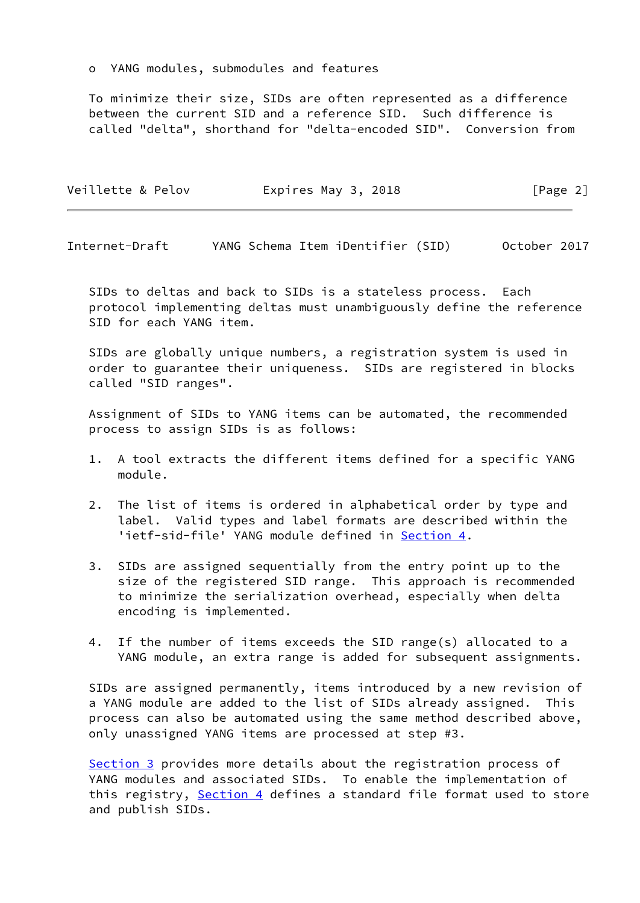o YANG modules, submodules and features

 To minimize their size, SIDs are often represented as a difference between the current SID and a reference SID. Such difference is called "delta", shorthand for "delta-encoded SID". Conversion from

| Veillette & Pelov | Expires May 3, 2018 | [Page 2] |
|-------------------|---------------------|----------|
|                   |                     |          |

<span id="page-2-0"></span>Internet-Draft YANG Schema Item iDentifier (SID) October 2017

 SIDs to deltas and back to SIDs is a stateless process. Each protocol implementing deltas must unambiguously define the reference SID for each YANG item.

 SIDs are globally unique numbers, a registration system is used in order to guarantee their uniqueness. SIDs are registered in blocks called "SID ranges".

 Assignment of SIDs to YANG items can be automated, the recommended process to assign SIDs is as follows:

- 1. A tool extracts the different items defined for a specific YANG module.
- 2. The list of items is ordered in alphabetical order by type and label. Valid types and label formats are described within the 'ietf-sid-file' YANG module defined in [Section 4.](#page-6-0)
- 3. SIDs are assigned sequentially from the entry point up to the size of the registered SID range. This approach is recommended to minimize the serialization overhead, especially when delta encoding is implemented.
- 4. If the number of items exceeds the SID range(s) allocated to a YANG module, an extra range is added for subsequent assignments.

 SIDs are assigned permanently, items introduced by a new revision of a YANG module are added to the list of SIDs already assigned. This process can also be automated using the same method described above, only unassigned YANG items are processed at step #3.

 [Section 3](#page-4-0) provides more details about the registration process of YANG modules and associated SIDs. To enable the implementation of this registry, [Section 4](#page-6-0) defines a standard file format used to store and publish SIDs.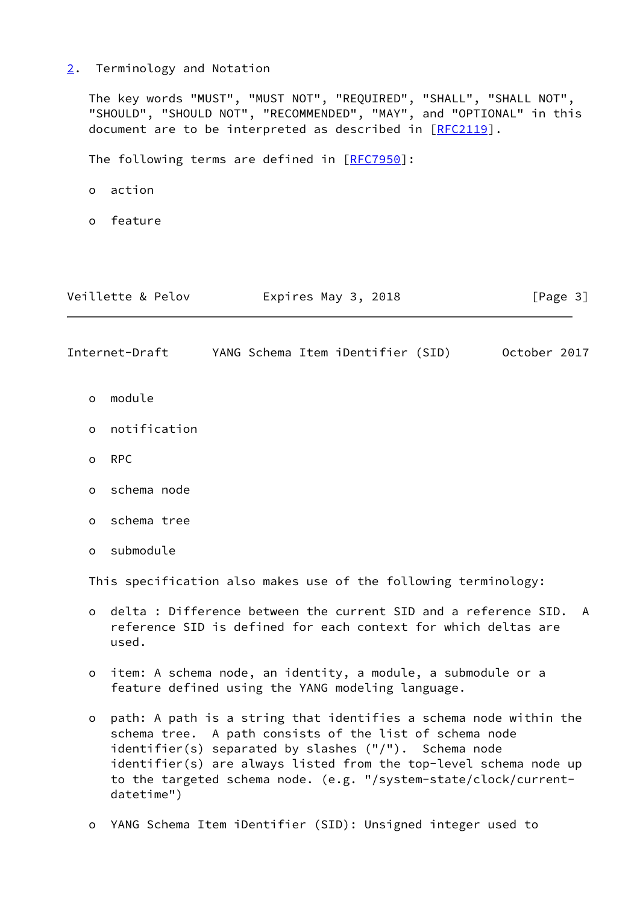<span id="page-3-0"></span>[2](#page-3-0). Terminology and Notation

 The key words "MUST", "MUST NOT", "REQUIRED", "SHALL", "SHALL NOT", "SHOULD", "SHOULD NOT", "RECOMMENDED", "MAY", and "OPTIONAL" in this document are to be interpreted as described in [\[RFC2119](https://datatracker.ietf.org/doc/pdf/rfc2119)].

The following terms are defined in [[RFC7950\]](https://datatracker.ietf.org/doc/pdf/rfc7950):

- o action
- o feature

<span id="page-3-1"></span>

|          | Veillette & Pelov | Expires May 3, 2018               | [Page 3]     |
|----------|-------------------|-----------------------------------|--------------|
|          | Internet-Draft    | YANG Schema Item iDentifier (SID) | October 2017 |
| $\circ$  | module            |                                   |              |
| $\circ$  | notification      |                                   |              |
| $\circ$  | <b>RPC</b>        |                                   |              |
| $\Omega$ | schema node       |                                   |              |
| $\circ$  | schema tree       |                                   |              |

o submodule

This specification also makes use of the following terminology:

- o delta : Difference between the current SID and a reference SID. A reference SID is defined for each context for which deltas are used.
- o item: A schema node, an identity, a module, a submodule or a feature defined using the YANG modeling language.
- o path: A path is a string that identifies a schema node within the schema tree. A path consists of the list of schema node identifier(s) separated by slashes ("/"). Schema node identifier(s) are always listed from the top-level schema node up to the targeted schema node. (e.g. "/system-state/clock/current datetime")
- o YANG Schema Item iDentifier (SID): Unsigned integer used to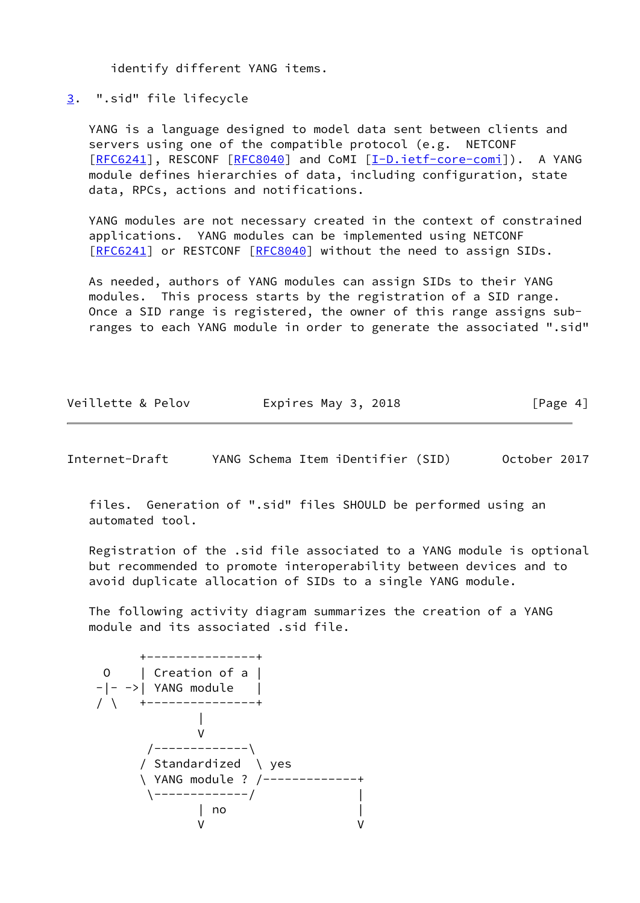identify different YANG items.

<span id="page-4-0"></span>[3](#page-4-0). ".sid" file lifecycle

 YANG is a language designed to model data sent between clients and servers using one of the compatible protocol (e.g. NETCONF [\[RFC6241](https://datatracker.ietf.org/doc/pdf/rfc6241)], RESCONF [[RFC8040\]](https://datatracker.ietf.org/doc/pdf/rfc8040) and CoMI [[I-D.ietf-core-comi\]](#page-14-2)). A YANG module defines hierarchies of data, including configuration, state data, RPCs, actions and notifications.

 YANG modules are not necessary created in the context of constrained applications. YANG modules can be implemented using NETCONF [\[RFC6241](https://datatracker.ietf.org/doc/pdf/rfc6241)] or RESTCONF [[RFC8040](https://datatracker.ietf.org/doc/pdf/rfc8040)] without the need to assign SIDs.

 As needed, authors of YANG modules can assign SIDs to their YANG modules. This process starts by the registration of a SID range. Once a SID range is registered, the owner of this range assigns sub ranges to each YANG module in order to generate the associated ".sid"

| Veillette & Pelov | Expires May 3, 2018 | [Page 4] |
|-------------------|---------------------|----------|
|                   |                     |          |

Internet-Draft YANG Schema Item iDentifier (SID) October 2017

 files. Generation of ".sid" files SHOULD be performed using an automated tool.

 Registration of the .sid file associated to a YANG module is optional but recommended to promote interoperability between devices and to avoid duplicate allocation of SIDs to a single YANG module.

 The following activity diagram summarizes the creation of a YANG module and its associated .sid file.

| $\vert$ Creation of a $\vert$ |
|-------------------------------|
| $- --> $ YANG module          |
| +--------------+              |
|                               |
|                               |
| ------------\                 |
| / Standardized \ yes          |
| \ YANG module ? /------------ |
|                               |
| no                            |
|                               |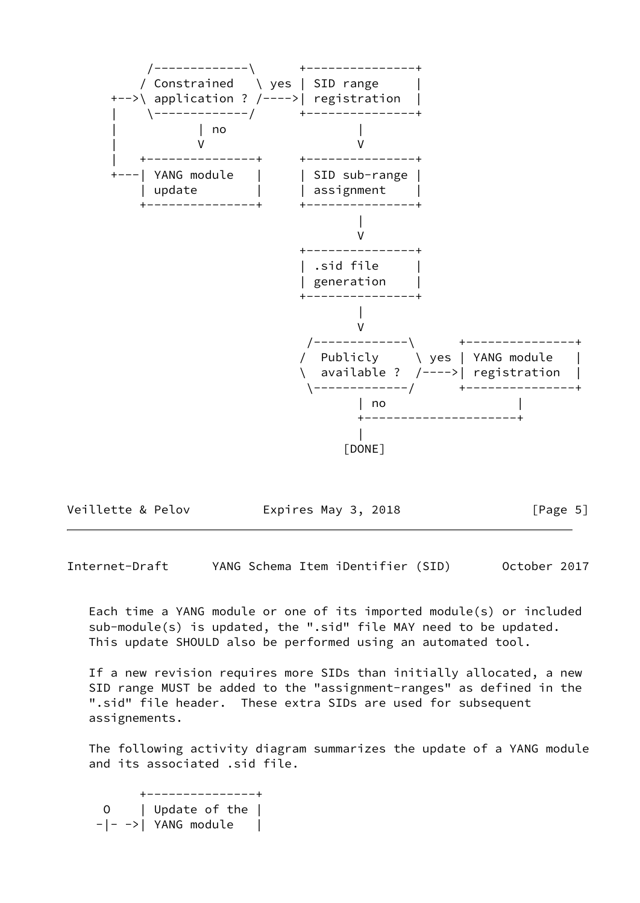

| Veillette & Pelov | Expires May 3, 2018 | [Page 5] |
|-------------------|---------------------|----------|
|-------------------|---------------------|----------|

Internet-Draft YANG Schema Item iDentifier (SID) October 2017

 Each time a YANG module or one of its imported module(s) or included sub-module(s) is updated, the ".sid" file MAY need to be updated. This update SHOULD also be performed using an automated tool.

 If a new revision requires more SIDs than initially allocated, a new SID range MUST be added to the "assignment-ranges" as defined in the ".sid" file header. These extra SIDs are used for subsequent assignements.

 The following activity diagram summarizes the update of a YANG module and its associated .sid file.

 +---------------+ O | Update of the |  $-|-->|$  YANG module |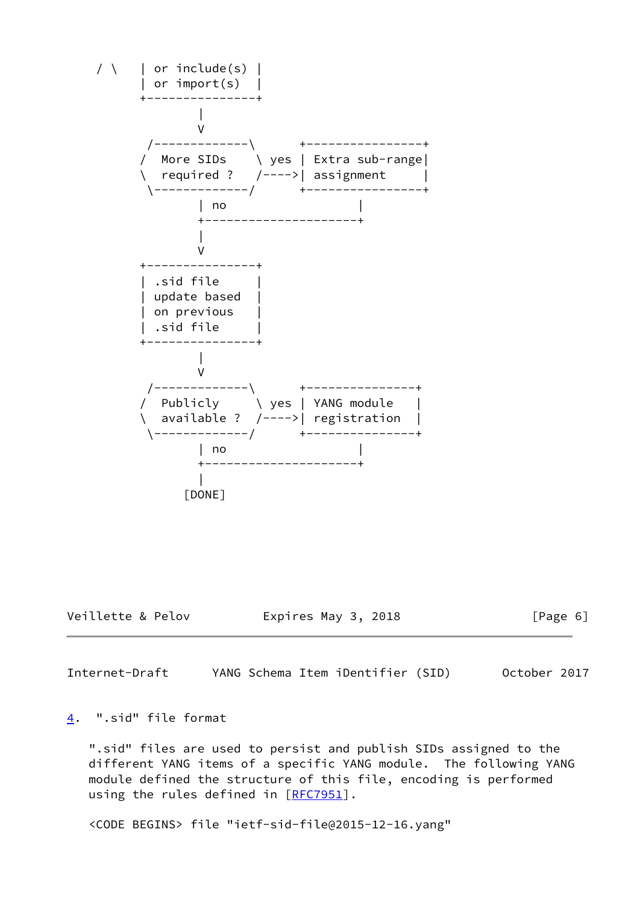

Veillette & Pelov Expires May 3, 2018 [Page 6]

<span id="page-6-1"></span>Internet-Draft YANG Schema Item iDentifier (SID) October 2017

### <span id="page-6-0"></span>[4](#page-6-0). ".sid" file format

 ".sid" files are used to persist and publish SIDs assigned to the different YANG items of a specific YANG module. The following YANG module defined the structure of this file, encoding is performed using the rules defined in [[RFC7951\]](https://datatracker.ietf.org/doc/pdf/rfc7951).

<CODE BEGINS> file "ietf-sid-file@2015-12-16.yang"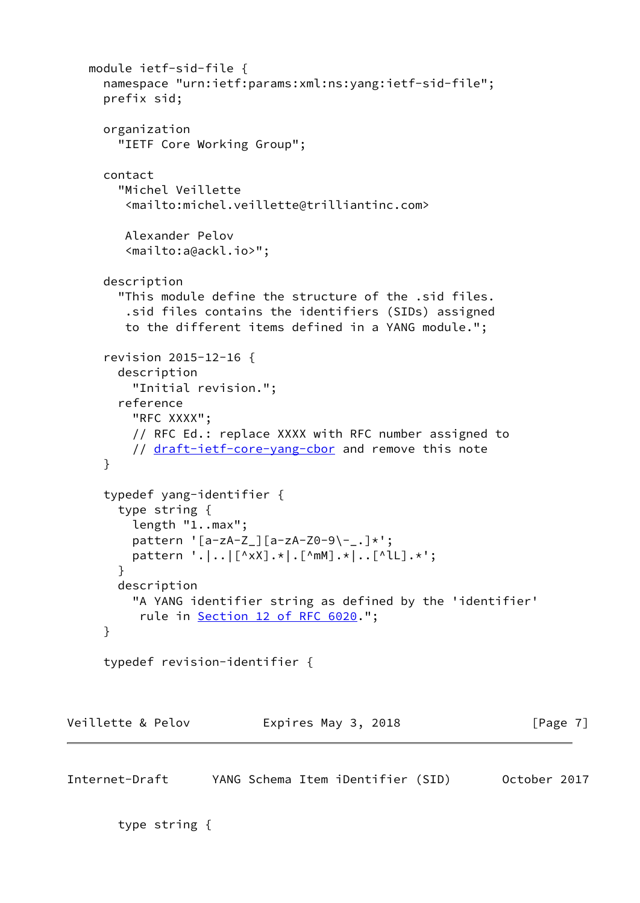```
 module ietf-sid-file {
     namespace "urn:ietf:params:xml:ns:yang:ietf-sid-file";
     prefix sid;
     organization
       "IETF Core Working Group";
     contact
       "Michel Veillette
         <mailto:michel.veillette@trilliantinc.com>
        Alexander Pelov
         <mailto:a@ackl.io>";
     description
       "This module define the structure of the .sid files.
         .sid files contains the identifiers (SIDs) assigned
         to the different items defined in a YANG module.";
      revision 2015-12-16 {
       description
          "Initial revision.";
       reference
         "RFC XXXX";
         // RFC Ed.: replace XXXX with RFC number assigned to
         draft-ietf-core-yang-cbor and remove this note
     }
     typedef yang-identifier {
       type string {
         length "1..max";
        pattern '[a-zA-Z_][a-zA-Z0-9\-_.]*';
         pattern '.|..|[^xX].*|.[^mM].*|..[^lL].*';
       }
       description
         "A YANG identifier string as defined by the 'identifier'
         12 of RFC 6020.";
     }
     typedef revision-identifier {
Veillette & Pelov Expires May 3, 2018 [Page 7]
Internet-Draft YANG Schema Item iDentifier (SID) October 2017
```

```
 type string {
```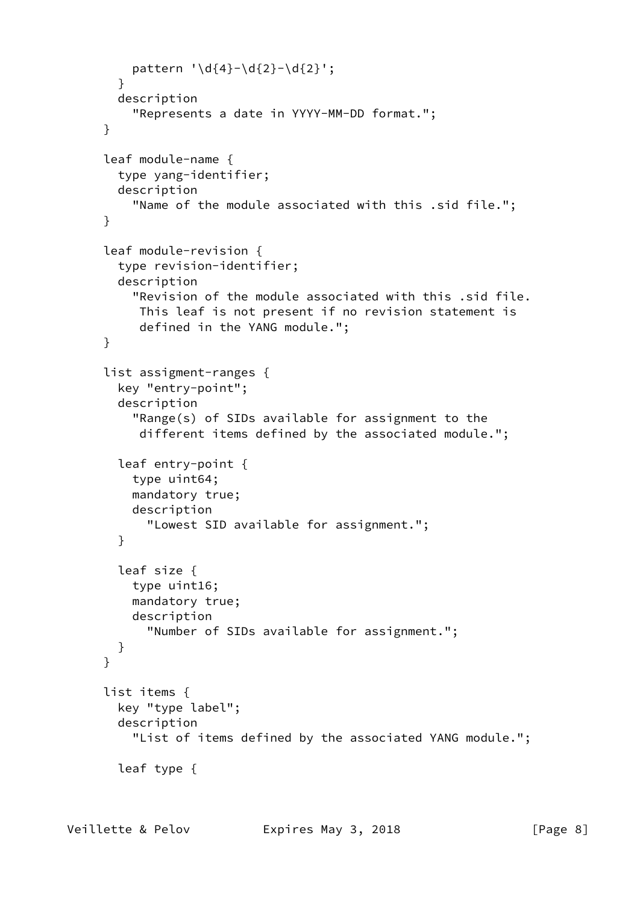```
pattern '\d{4}-\d{2}-\d{2}';
   }
   description
     "Represents a date in YYYY-MM-DD format.";
 }
 leaf module-name {
   type yang-identifier;
   description
     "Name of the module associated with this .sid file.";
 }
 leaf module-revision {
   type revision-identifier;
   description
     "Revision of the module associated with this .sid file.
      This leaf is not present if no revision statement is
      defined in the YANG module.";
 }
 list assigment-ranges {
   key "entry-point";
   description
     "Range(s) of SIDs available for assignment to the
      different items defined by the associated module.";
   leaf entry-point {
     type uint64;
     mandatory true;
     description
       "Lowest SID available for assignment.";
   }
   leaf size {
     type uint16;
     mandatory true;
     description
       "Number of SIDs available for assignment.";
   }
 }
 list items {
   key "type label";
   description
     "List of items defined by the associated YANG module.";
   leaf type {
```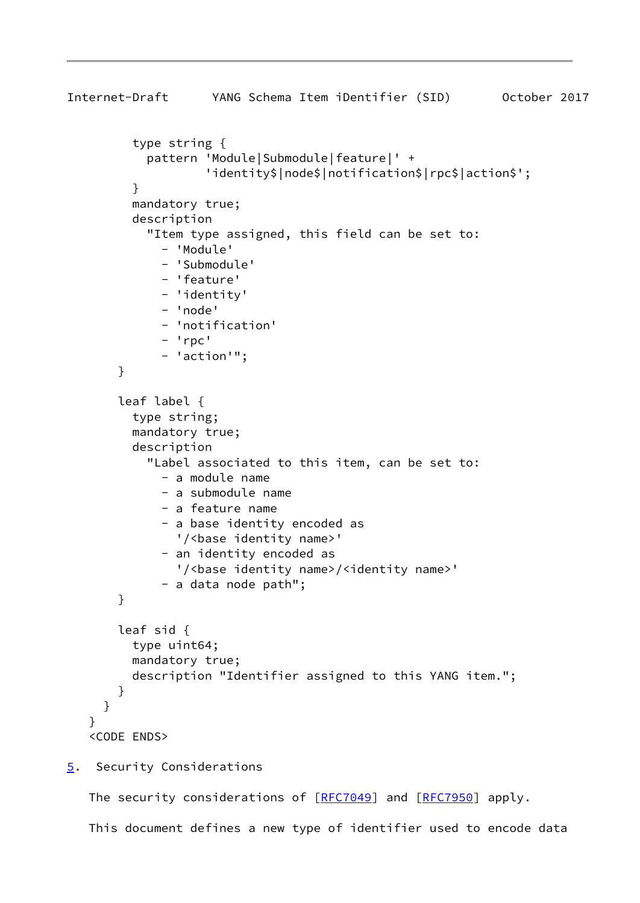```
Internet-Draft YANG Schema Item iDentifier (SID) October 2017
          type string {
            pattern 'Module|Submodule|feature|' +
                     'identity$|node$|notification$|rpc$|action$';
 }
          mandatory true;
          description
            "Item type assigned, this field can be set to:
              - 'Module'
              - 'Submodule'
              - 'feature'
              - 'identity'
              - 'node'
              - 'notification'
              - 'rpc'
              - 'action'";
        }
        leaf label {
          type string;
          mandatory true;
          description
            "Label associated to this item, can be set to:
              - a module name
              - a submodule name
              - a feature name
              - a base identity encoded as
                '/<base identity name>'
              - an identity encoded as
                '/<base identity name>/<identity name>'
              - a data node path";
        }
        leaf sid {
          type uint64;
          mandatory true;
          description "Identifier assigned to this YANG item.";
        }
      }
    }
    <CODE ENDS>
5. Security Considerations
```
<span id="page-9-0"></span>The security considerations of [\[RFC7049](https://datatracker.ietf.org/doc/pdf/rfc7049)] and [\[RFC7950](https://datatracker.ietf.org/doc/pdf/rfc7950)] apply.

This document defines a new type of identifier used to encode data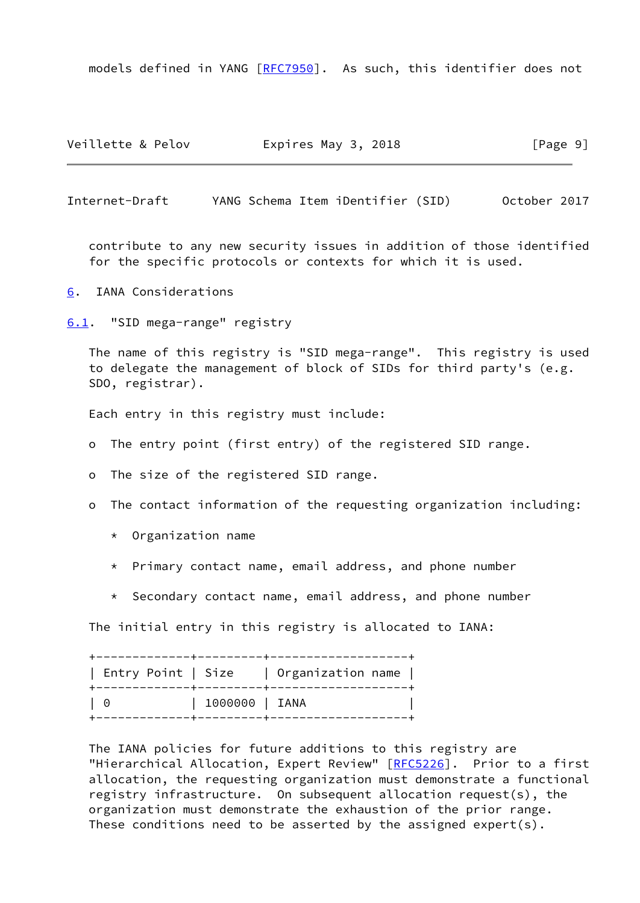models defined in YANG [\[RFC7950](https://datatracker.ietf.org/doc/pdf/rfc7950)]. As such, this identifier does not

Veillette & Pelov **Expires May 3, 2018** [Page 9]

<span id="page-10-1"></span>Internet-Draft YANG Schema Item iDentifier (SID) October 2017

 contribute to any new security issues in addition of those identified for the specific protocols or contexts for which it is used.

<span id="page-10-0"></span>[6](#page-10-0). IANA Considerations

<span id="page-10-2"></span>[6.1](#page-10-2). "SID mega-range" registry

 The name of this registry is "SID mega-range". This registry is used to delegate the management of block of SIDs for third party's (e.g. SDO, registrar).

Each entry in this registry must include:

- o The entry point (first entry) of the registered SID range.
- o The size of the registered SID range.
- o The contact information of the requesting organization including:
	- \* Organization name
	- \* Primary contact name, email address, and phone number
	- \* Secondary contact name, email address, and phone number

The initial entry in this registry is allocated to IANA:

 +-------------+---------+-------------------+ | Entry Point | Size | Organization name | +-------------+---------+-------------------+ | 0 | 1000000 | IANA | +-------------+---------+-------------------+

 The IANA policies for future additions to this registry are "Hierarchical Allocation, Expert Review" [\[RFC5226](https://datatracker.ietf.org/doc/pdf/rfc5226)]. Prior to a first allocation, the requesting organization must demonstrate a functional registry infrastructure. On subsequent allocation request(s), the organization must demonstrate the exhaustion of the prior range. These conditions need to be asserted by the assigned expert(s).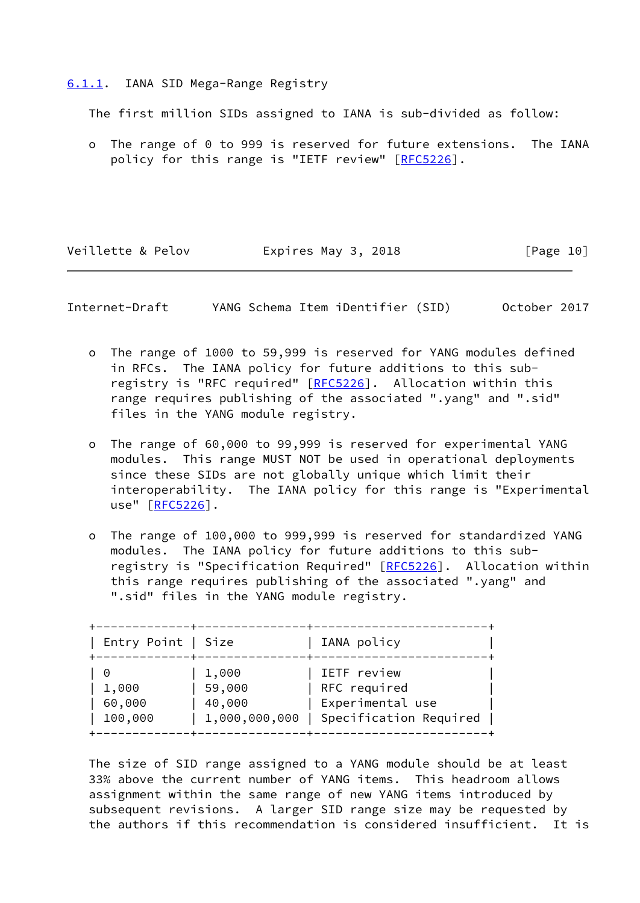#### <span id="page-11-0"></span>[6.1.1](#page-11-0). IANA SID Mega-Range Registry

The first million SIDs assigned to IANA is sub-divided as follow:

 o The range of 0 to 999 is reserved for future extensions. The IANA policy for this range is "IETF review" [[RFC5226](https://datatracker.ietf.org/doc/pdf/rfc5226)].

Veillette & Pelov **Expires May 3, 2018** [Page 10]

<span id="page-11-1"></span>Internet-Draft YANG Schema Item iDentifier (SID) October 2017

- o The range of 1000 to 59,999 is reserved for YANG modules defined in RFCs. The IANA policy for future additions to this sub- registry is "RFC required" [[RFC5226](https://datatracker.ietf.org/doc/pdf/rfc5226)]. Allocation within this range requires publishing of the associated ".yang" and ".sid" files in the YANG module registry.
- o The range of 60,000 to 99,999 is reserved for experimental YANG modules. This range MUST NOT be used in operational deployments since these SIDs are not globally unique which limit their interoperability. The IANA policy for this range is "Experimental use" [\[RFC5226](https://datatracker.ietf.org/doc/pdf/rfc5226)].
- o The range of 100,000 to 999,999 is reserved for standardized YANG modules. The IANA policy for future additions to this sub- registry is "Specification Required" [\[RFC5226](https://datatracker.ietf.org/doc/pdf/rfc5226)]. Allocation within this range requires publishing of the associated ".yang" and ".sid" files in the YANG module registry.

| Entry Point   Size |               | IANA policy            |
|--------------------|---------------|------------------------|
| 0                  | 1,000         | IETF review            |
| 1,000              | 59,000        | RFC required           |
| 60,000             | 40,000        | Experimental use       |
| 100,000            | 1,000,000,000 | Specification Required |

 The size of SID range assigned to a YANG module should be at least 33% above the current number of YANG items. This headroom allows assignment within the same range of new YANG items introduced by subsequent revisions. A larger SID range size may be requested by the authors if this recommendation is considered insufficient. It is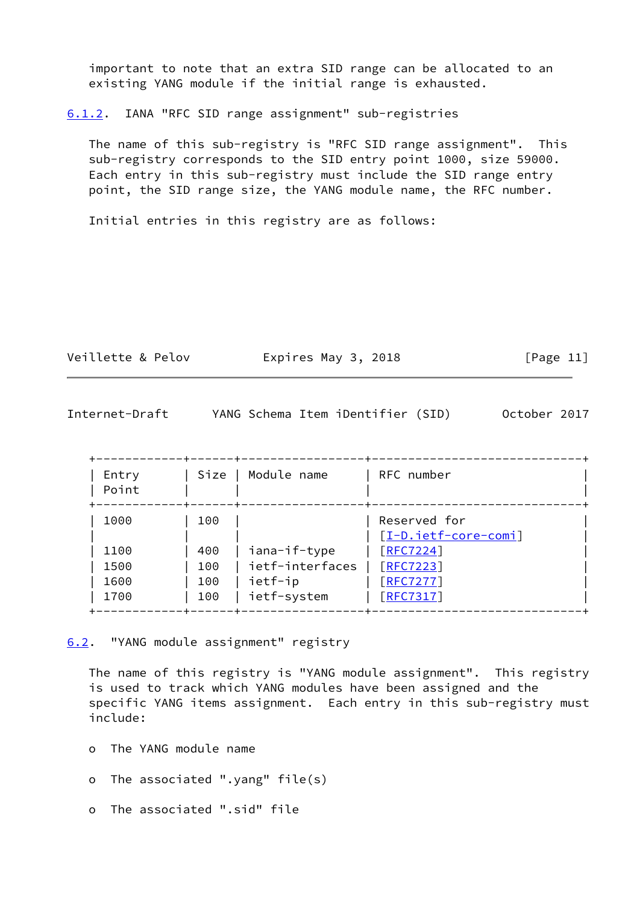important to note that an extra SID range can be allocated to an existing YANG module if the initial range is exhausted.

<span id="page-12-0"></span>[6.1.2](#page-12-0). IANA "RFC SID range assignment" sub-registries

 The name of this sub-registry is "RFC SID range assignment". This sub-registry corresponds to the SID entry point 1000, size 59000. Each entry in this sub-registry must include the SID range entry point, the SID range size, the YANG module name, the RFC number.

Initial entries in this registry are as follows:

| Veillette & Pelov | Expires May 3, 2018 | [Page 11] |
|-------------------|---------------------|-----------|
|                   |                     |           |

<span id="page-12-2"></span>

| Internet-Draft |  | YANG Schema Item iDentifier (SID) |  | October 2017 |  |
|----------------|--|-----------------------------------|--|--------------|--|
|----------------|--|-----------------------------------|--|--------------|--|

| Entry<br>Point | Size  <br>--+------+- | Module name     | RFC number           |
|----------------|-----------------------|-----------------|----------------------|
| 1000           | 100                   |                 | Reserved for         |
|                |                       |                 | [I-D.ietf-core-comi] |
| 1100           | 400                   | iana-if-type    | [RFC7224]            |
| 1500           | 100                   | ietf-interfaces | [REC7223]            |
| 1600           | 100                   | ietf-ip         | [RFC7277]            |
| 1700           | 100                   | ietf-system     | [REC7317]            |

<span id="page-12-1"></span>[6.2](#page-12-1). "YANG module assignment" registry

 The name of this registry is "YANG module assignment". This registry is used to track which YANG modules have been assigned and the specific YANG items assignment. Each entry in this sub-registry must include:

- o The YANG module name
- o The associated ".yang" file(s)
- o The associated ".sid" file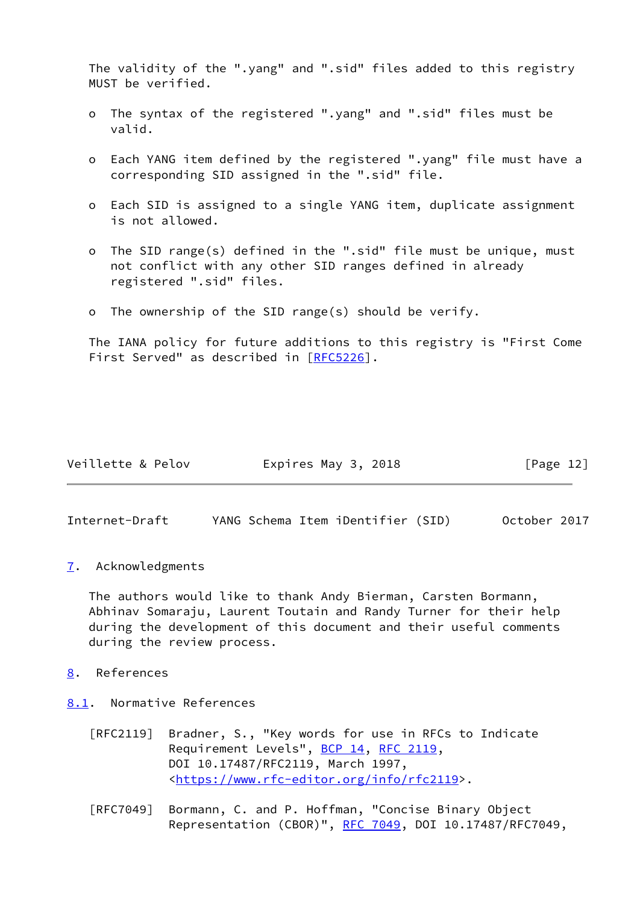The validity of the ".yang" and ".sid" files added to this registry MUST be verified.

- The syntax of the registered ".yang" and ".sid" files must be valid.
- o Each YANG item defined by the registered ".yang" file must have a corresponding SID assigned in the ".sid" file.
- o Each SID is assigned to a single YANG item, duplicate assignment is not allowed.
- o The SID range(s) defined in the ".sid" file must be unique, must not conflict with any other SID ranges defined in already registered ".sid" files.
- The ownership of the SID range(s) should be verify.

 The IANA policy for future additions to this registry is "First Come First Served" as described in [[RFC5226](https://datatracker.ietf.org/doc/pdf/rfc5226)].

| Veillette & Pelov | Expires May 3, 2018 | [Page 12] |
|-------------------|---------------------|-----------|
|-------------------|---------------------|-----------|

<span id="page-13-1"></span>Internet-Draft YANG Schema Item iDentifier (SID) October 2017

<span id="page-13-0"></span>[7](#page-13-0). Acknowledgments

 The authors would like to thank Andy Bierman, Carsten Bormann, Abhinav Somaraju, Laurent Toutain and Randy Turner for their help during the development of this document and their useful comments during the review process.

<span id="page-13-2"></span>[8](#page-13-2). References

<span id="page-13-3"></span>[8.1](#page-13-3). Normative References

- [RFC2119] Bradner, S., "Key words for use in RFCs to Indicate Requirement Levels", [BCP 14](https://datatracker.ietf.org/doc/pdf/bcp14), [RFC 2119](https://datatracker.ietf.org/doc/pdf/rfc2119), DOI 10.17487/RFC2119, March 1997, <[https://www.rfc-editor.org/info/rfc2119>](https://www.rfc-editor.org/info/rfc2119).
- [RFC7049] Bormann, C. and P. Hoffman, "Concise Binary Object Representation (CBOR)", [RFC 7049,](https://datatracker.ietf.org/doc/pdf/rfc7049) DOI 10.17487/RFC7049,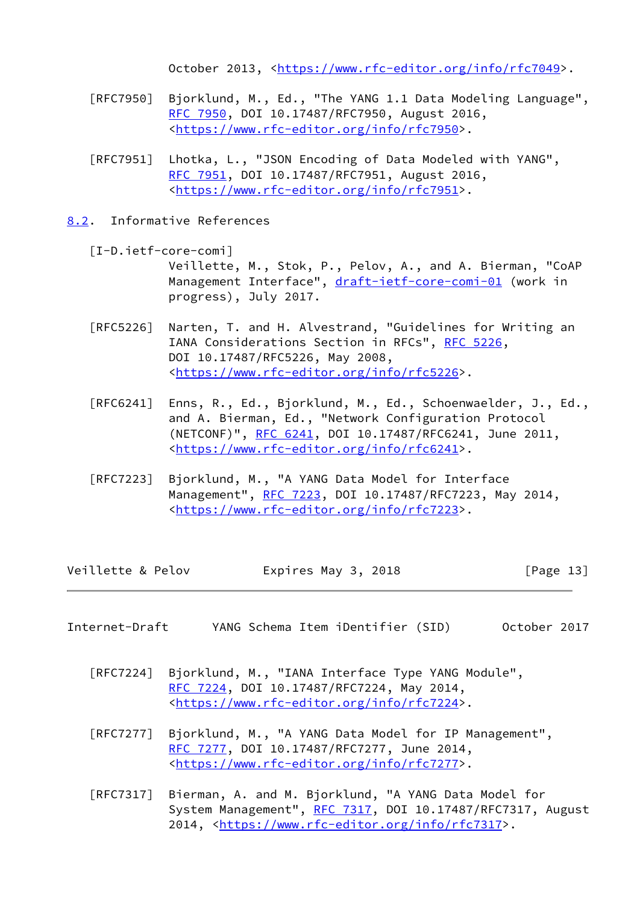October 2013, [<https://www.rfc-editor.org/info/rfc7049](https://www.rfc-editor.org/info/rfc7049)>.

- [RFC7950] Bjorklund, M., Ed., "The YANG 1.1 Data Modeling Language", [RFC 7950,](https://datatracker.ietf.org/doc/pdf/rfc7950) DOI 10.17487/RFC7950, August 2016, <[https://www.rfc-editor.org/info/rfc7950>](https://www.rfc-editor.org/info/rfc7950).
- [RFC7951] Lhotka, L., "JSON Encoding of Data Modeled with YANG", [RFC 7951,](https://datatracker.ietf.org/doc/pdf/rfc7951) DOI 10.17487/RFC7951, August 2016, <[https://www.rfc-editor.org/info/rfc7951>](https://www.rfc-editor.org/info/rfc7951).
- <span id="page-14-0"></span>[8.2](#page-14-0). Informative References

<span id="page-14-2"></span> [I-D.ietf-core-comi] Veillette, M., Stok, P., Pelov, A., and A. Bierman, "CoAP Management Interface", [draft-ietf-core-comi-01](https://datatracker.ietf.org/doc/pdf/draft-ietf-core-comi-01) (work in progress), July 2017.

- [RFC5226] Narten, T. and H. Alvestrand, "Guidelines for Writing an IANA Considerations Section in RFCs", [RFC 5226](https://datatracker.ietf.org/doc/pdf/rfc5226), DOI 10.17487/RFC5226, May 2008, <[https://www.rfc-editor.org/info/rfc5226>](https://www.rfc-editor.org/info/rfc5226).
- [RFC6241] Enns, R., Ed., Bjorklund, M., Ed., Schoenwaelder, J., Ed., and A. Bierman, Ed., "Network Configuration Protocol (NETCONF)", [RFC 6241,](https://datatracker.ietf.org/doc/pdf/rfc6241) DOI 10.17487/RFC6241, June 2011, <[https://www.rfc-editor.org/info/rfc6241>](https://www.rfc-editor.org/info/rfc6241).
- [RFC7223] Bjorklund, M., "A YANG Data Model for Interface Management", [RFC 7223](https://datatracker.ietf.org/doc/pdf/rfc7223), DOI 10.17487/RFC7223, May 2014, <[https://www.rfc-editor.org/info/rfc7223>](https://www.rfc-editor.org/info/rfc7223).

Veillette & Pelov **Expires May 3, 2018** [Page 13]

- <span id="page-14-1"></span>Internet-Draft YANG Schema Item iDentifier (SID) October 2017
	- [RFC7224] Bjorklund, M., "IANA Interface Type YANG Module", [RFC 7224,](https://datatracker.ietf.org/doc/pdf/rfc7224) DOI 10.17487/RFC7224, May 2014, <[https://www.rfc-editor.org/info/rfc7224>](https://www.rfc-editor.org/info/rfc7224).
	- [RFC7277] Bjorklund, M., "A YANG Data Model for IP Management", [RFC 7277,](https://datatracker.ietf.org/doc/pdf/rfc7277) DOI 10.17487/RFC7277, June 2014, <[https://www.rfc-editor.org/info/rfc7277>](https://www.rfc-editor.org/info/rfc7277).
	- [RFC7317] Bierman, A. and M. Bjorklund, "A YANG Data Model for System Management", [RFC 7317,](https://datatracker.ietf.org/doc/pdf/rfc7317) DOI 10.17487/RFC7317, August 2014, [<https://www.rfc-editor.org/info/rfc7317](https://www.rfc-editor.org/info/rfc7317)>.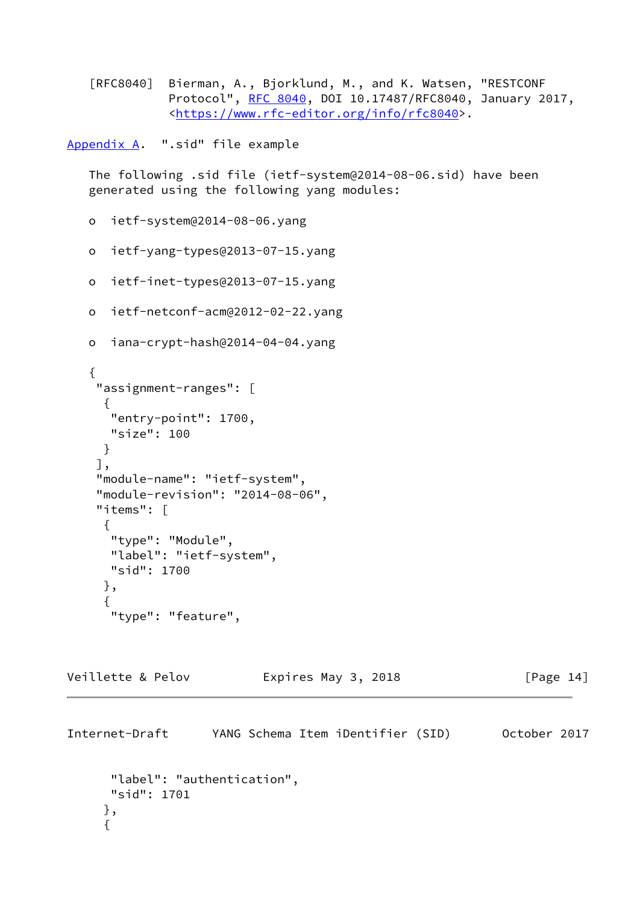[RFC8040] Bierman, A., Bjorklund, M., and K. Watsen, "RESTCONF Protocol", [RFC 8040](https://datatracker.ietf.org/doc/pdf/rfc8040), DOI 10.17487/RFC8040, January 2017, <[https://www.rfc-editor.org/info/rfc8040>](https://www.rfc-editor.org/info/rfc8040).

<span id="page-15-0"></span>[Appendix A.](#page-15-0) ".sid" file example

 The following .sid file (ietf-system@2014-08-06.sid) have been generated using the following yang modules:

```
 o ietf-system@2014-08-06.yang
```
o ietf-yang-types@2013-07-15.yang

```
 o ietf-inet-types@2013-07-15.yang
```

```
 o ietf-netconf-acm@2012-02-22.yang
```

```
 o iana-crypt-hash@2014-04-04.yang
```

```
 {
     "assignment-ranges": [
     \mathcal{F} "entry-point": 1700,
      "size": 100
      }
     ],
     "module-name": "ietf-system",
     "module-revision": "2014-08-06",
     "items": [
      {
       "type": "Module",
       "label": "ietf-system",
       "sid": 1700
      },
\{ "type": "feature",
```
Veillette & Pelov **Expires May 3, 2018** [Page 14]

Internet-Draft YANG Schema Item iDentifier (SID) October 2017 "label": "authentication", "sid": 1701 }, {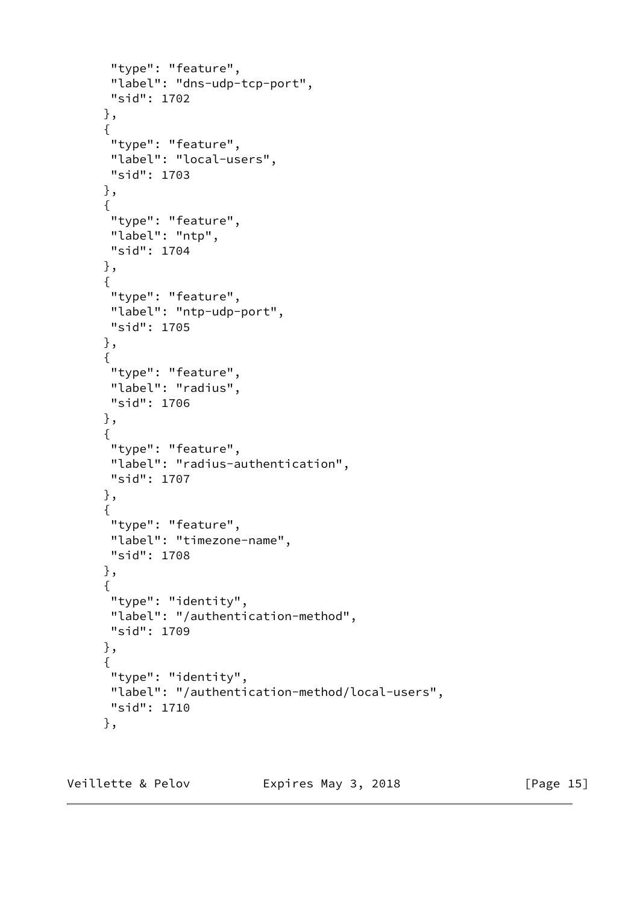```
 "type": "feature",
  "label": "dns-udp-tcp-port",
  "sid": 1702
 },
 {
  "type": "feature",
  "label": "local-users",
 "sid": 1703
 },
 {
  "type": "feature",
  "label": "ntp",
 "sid": 1704
 },
 {
  "type": "feature",
  "label": "ntp-udp-port",
  "sid": 1705
 },
 {
  "type": "feature",
  "label": "radius",
  "sid": 1706
 },
 {
  "type": "feature",
  "label": "radius-authentication",
  "sid": 1707
 },
 {
  "type": "feature",
  "label": "timezone-name",
  "sid": 1708
 },
 {
  "type": "identity",
  "label": "/authentication-method",
 "sid": 1709
 },
 {
  "type": "identity",
  "label": "/authentication-method/local-users",
 "sid": 1710
 },
```
Veillette & Pelov **Expires May 3, 2018** [Page 15]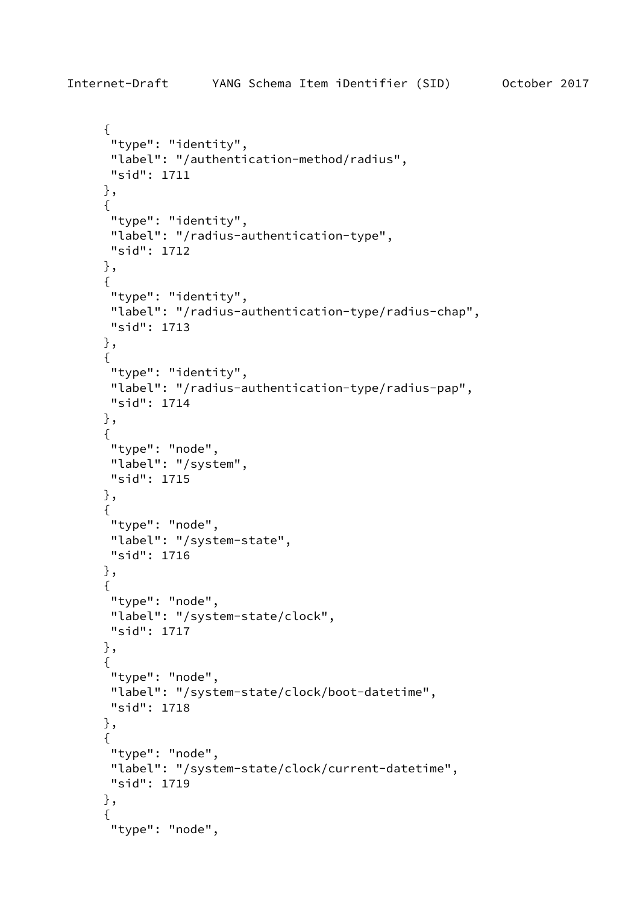```
 {
       "type": "identity",
       "label": "/authentication-method/radius",
       "sid": 1711
      },
      {
       "type": "identity",
       "label": "/radius-authentication-type",
      "sid": 1712
      },
      {
       "type": "identity",
       "label": "/radius-authentication-type/radius-chap",
       "sid": 1713
      },
      {
       "type": "identity",
       "label": "/radius-authentication-type/radius-pap",
       "sid": 1714
      },
      {
       "type": "node",
       "label": "/system",
      "sid": 1715
      },
      {
       "type": "node",
       "label": "/system-state",
       "sid": 1716
      },
      {
       "type": "node",
       "label": "/system-state/clock",
       "sid": 1717
      },
      {
       "type": "node",
       "label": "/system-state/clock/boot-datetime",
      "sid": 1718
      },
\{ "type": "node",
       "label": "/system-state/clock/current-datetime",
       "sid": 1719
      },
      {
       "type": "node",
```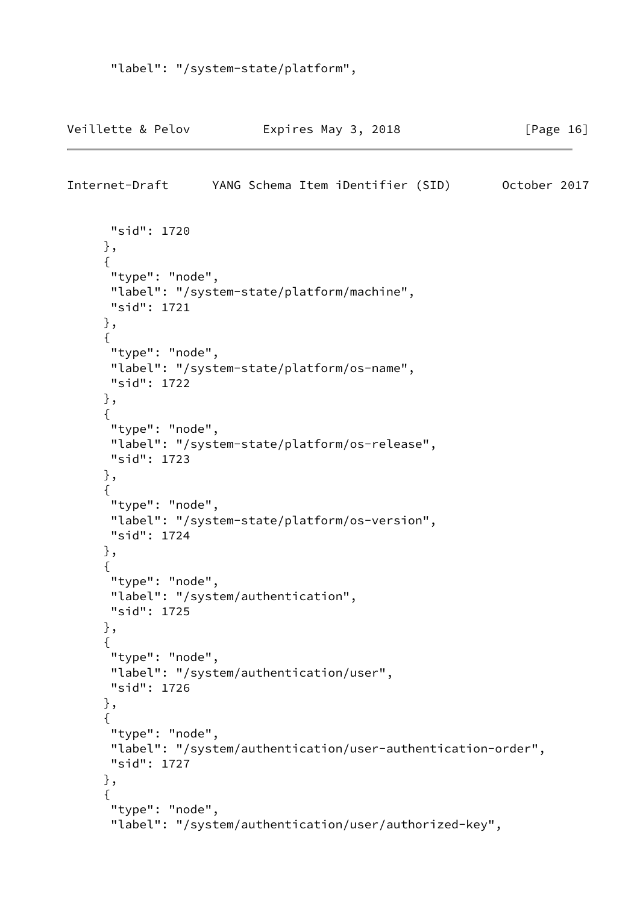```
 "label": "/system-state/platform",
```
Veillette & Pelov **Expires May 3, 2018** [Page 16]

Internet-Draft YANG Schema Item iDentifier (SID) October 2017

```
 "sid": 1720
 },
 {
 "type": "node",
 "label": "/system-state/platform/machine",
  "sid": 1721
 },
 {
  "type": "node",
  "label": "/system-state/platform/os-name",
 "sid": 1722
 },
 {
  "type": "node",
 "label": "/system-state/platform/os-release",
 "sid": 1723
 },
 {
 "type": "node",
 "label": "/system-state/platform/os-version",
 "sid": 1724
 },
 {
 "type": "node",
  "label": "/system/authentication",
 "sid": 1725
 },
 {
  "type": "node",
  "label": "/system/authentication/user",
  "sid": 1726
 },
 {
  "type": "node",
 "label": "/system/authentication/user-authentication-order",
 "sid": 1727
 },
 {
  "type": "node",
  "label": "/system/authentication/user/authorized-key",
```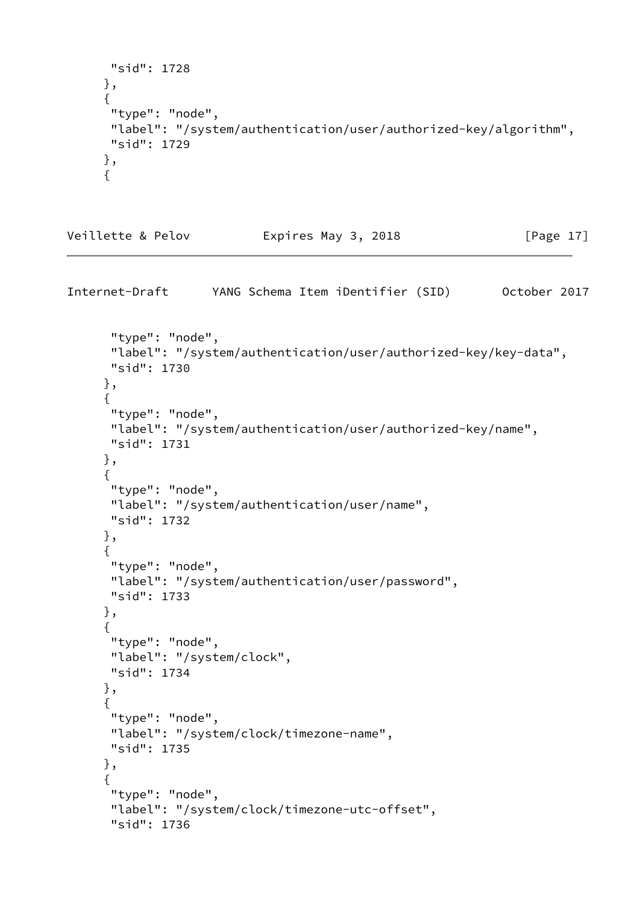```
 "sid": 1728
 },
 {
 "type": "node",
 "label": "/system/authentication/user/authorized-key/algorithm",
 "sid": 1729
 },
 {
```
Veillette & Pelov **Expires May 3, 2018** [Page 17]

```
Internet-Draft YANG Schema Item iDentifier (SID) October 2017
       "type": "node",
       "label": "/system/authentication/user/authorized-key/key-data",
       "sid": 1730
      },
      {
       "type": "node",
       "label": "/system/authentication/user/authorized-key/name",
       "sid": 1731
      },
      {
       "type": "node",
       "label": "/system/authentication/user/name",
       "sid": 1732
      },
      {
       "type": "node",
       "label": "/system/authentication/user/password",
       "sid": 1733
      },
      {
       "type": "node",
       "label": "/system/clock",
       "sid": 1734
      },
      {
       "type": "node",
       "label": "/system/clock/timezone-name",
       "sid": 1735
      },
      {
       "type": "node",
       "label": "/system/clock/timezone-utc-offset",
       "sid": 1736
```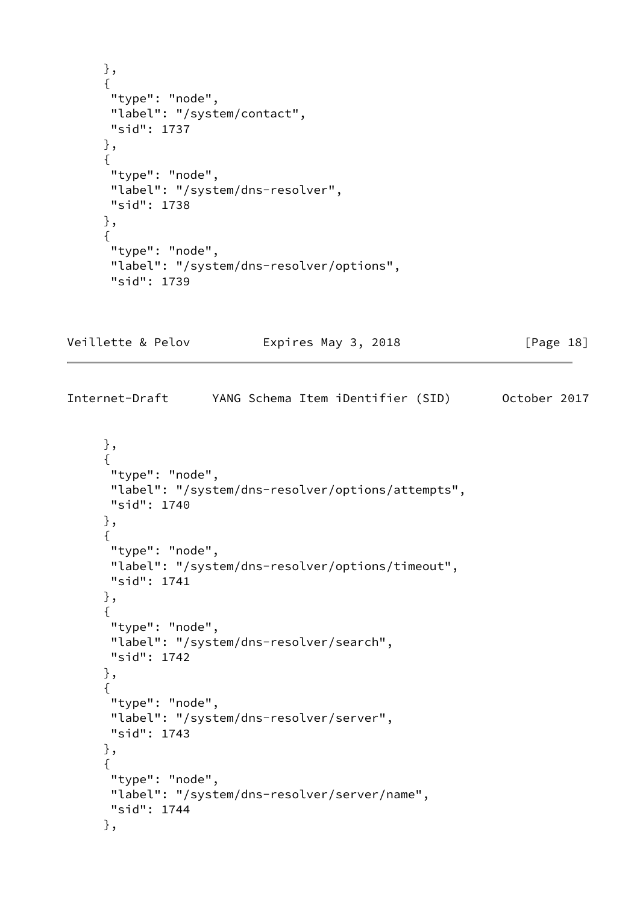```
 },
      {
      "type": "node",
       "label": "/system/contact",
      "sid": 1737
      },
      {
       "type": "node",
       "label": "/system/dns-resolver",
       "sid": 1738
      },
      {
       "type": "node",
       "label": "/system/dns-resolver/options",
       "sid": 1739
Veillette & Pelov Expires May 3, 2018 [Page 18]
Internet-Draft YANG Schema Item iDentifier (SID) October 2017
      },
      {
       "type": "node",
      "label": "/system/dns-resolver/options/attempts",
      "sid": 1740
      },
      {
       "type": "node",
      "label": "/system/dns-resolver/options/timeout",
      "sid": 1741
      },
      {
       "type": "node",
       "label": "/system/dns-resolver/search",
      "sid": 1742
      },
      {
       "type": "node",
       "label": "/system/dns-resolver/server",
       "sid": 1743
      },
      {
       "type": "node",
      "label": "/system/dns-resolver/server/name",
       "sid": 1744
      },
```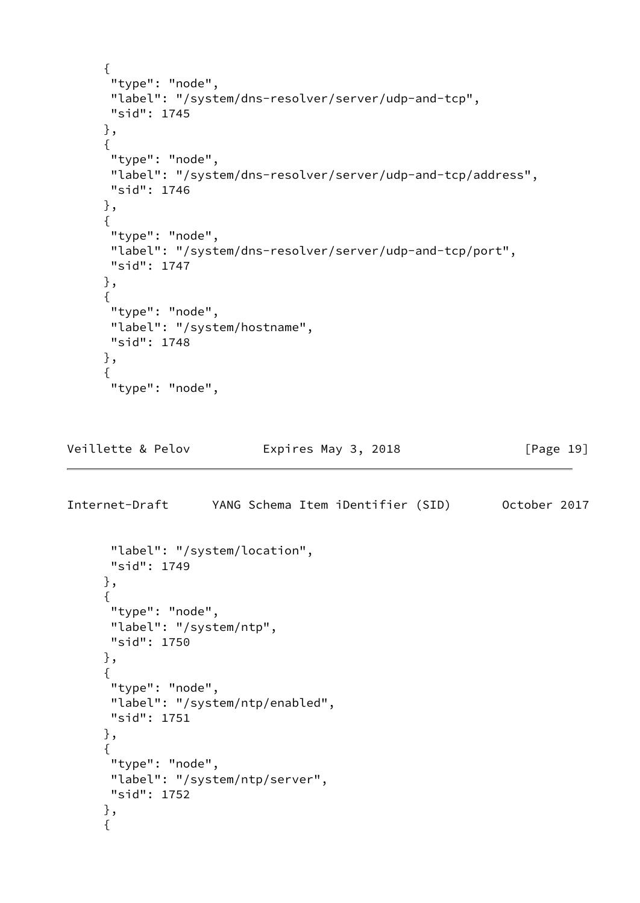```
 {
       "type": "node",
       "label": "/system/dns-resolver/server/udp-and-tcp",
       "sid": 1745
      },
      {
       "type": "node",
       "label": "/system/dns-resolver/server/udp-and-tcp/address",
      "sid": 1746
      },
      {
       "type": "node",
       "label": "/system/dns-resolver/server/udp-and-tcp/port",
       "sid": 1747
      },
      {
       "type": "node",
       "label": "/system/hostname",
      "sid": 1748
      },
      {
       "type": "node",
Veillette & Pelov Expires May 3, 2018 [Page 19]
Internet-Draft YANG Schema Item iDentifier (SID) October 2017
       "label": "/system/location",
       "sid": 1749
      },
      {
       "type": "node",
       "label": "/system/ntp",
       "sid": 1750
      },
      {
       "type": "node",
       "label": "/system/ntp/enabled",
      "sid": 1751
      },
      {
      "type": "node",
      "label": "/system/ntp/server",
      "sid": 1752
      },
      {
```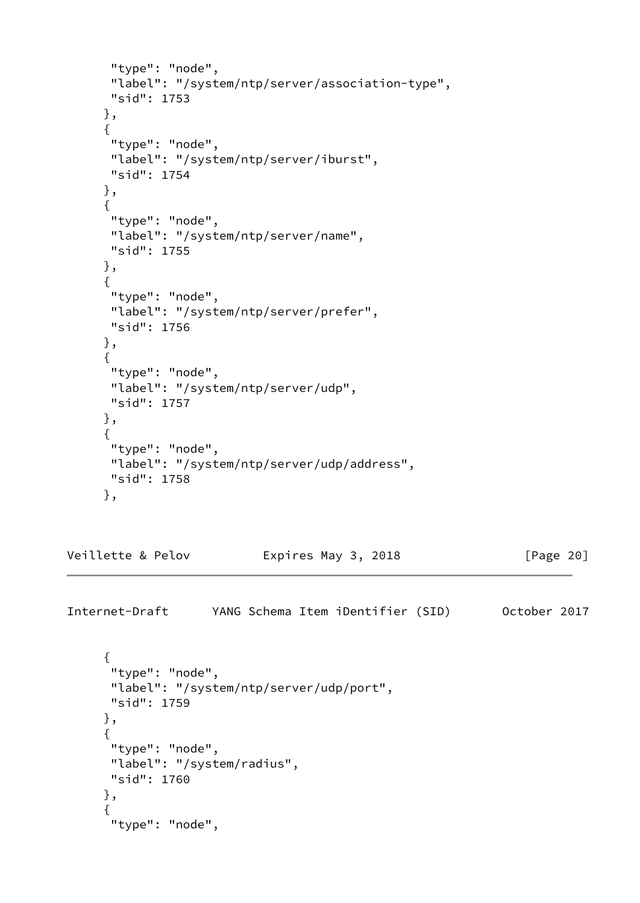```
 "type": "node",
       "label": "/system/ntp/server/association-type",
       "sid": 1753
      },
      {
       "type": "node",
       "label": "/system/ntp/server/iburst",
       "sid": 1754
      },
      {
       "type": "node",
       "label": "/system/ntp/server/name",
      "sid": 1755
      },
      {
       "type": "node",
       "label": "/system/ntp/server/prefer",
       "sid": 1756
      },
      {
       "type": "node",
       "label": "/system/ntp/server/udp",
       "sid": 1757
      },
      {
       "type": "node",
       "label": "/system/ntp/server/udp/address",
      "sid": 1758
      },
Veillette & Pelov Expires May 3, 2018 [Page 20]
Internet-Draft YANG Schema Item iDentifier (SID) October 2017
      {
       "type": "node",
       "label": "/system/ntp/server/udp/port",
      "sid": 1759
      },
      {
       "type": "node",
```

```
 "label": "/system/radius",
 "sid": 1760
```

```
 },
 {
  "type": "node",
```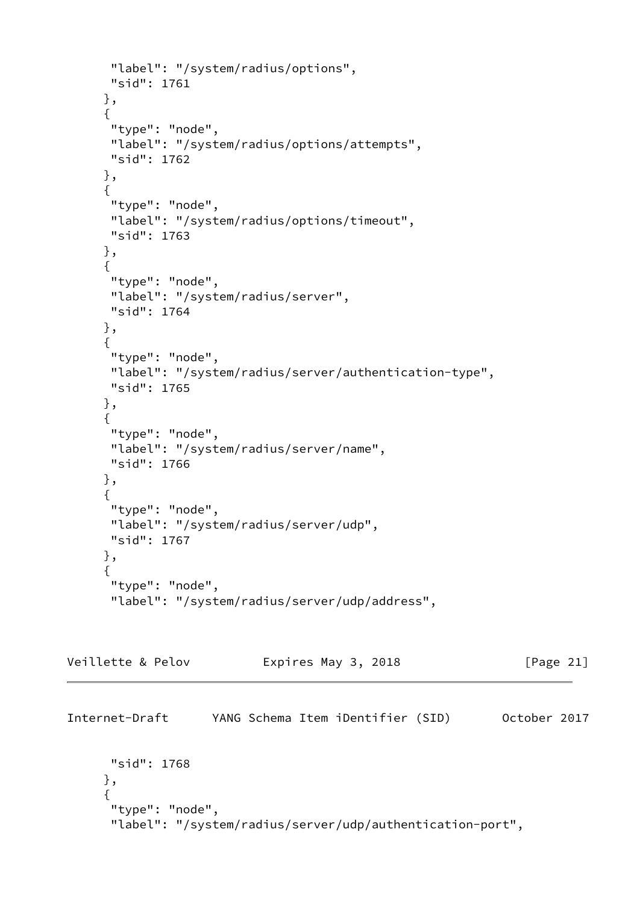```
 "label": "/system/radius/options",
       "sid": 1761
      },
      {
       "type": "node",
       "label": "/system/radius/options/attempts",
       "sid": 1762
      },
      {
       "type": "node",
       "label": "/system/radius/options/timeout",
       "sid": 1763
      },
      {
       "type": "node",
       "label": "/system/radius/server",
      "sid": 1764
      },
      {
       "type": "node",
       "label": "/system/radius/server/authentication-type",
       "sid": 1765
      },
      {
       "type": "node",
       "label": "/system/radius/server/name",
       "sid": 1766
      },
      {
       "type": "node",
       "label": "/system/radius/server/udp",
       "sid": 1767
      },
      {
       "type": "node",
       "label": "/system/radius/server/udp/address",
Veillette & Pelov Expires May 3, 2018 [Page 21]
Internet-Draft YANG Schema Item iDentifier (SID) October 2017
       "sid": 1768
      },
      {
       "type": "node",
```

```
 "label": "/system/radius/server/udp/authentication-port",
```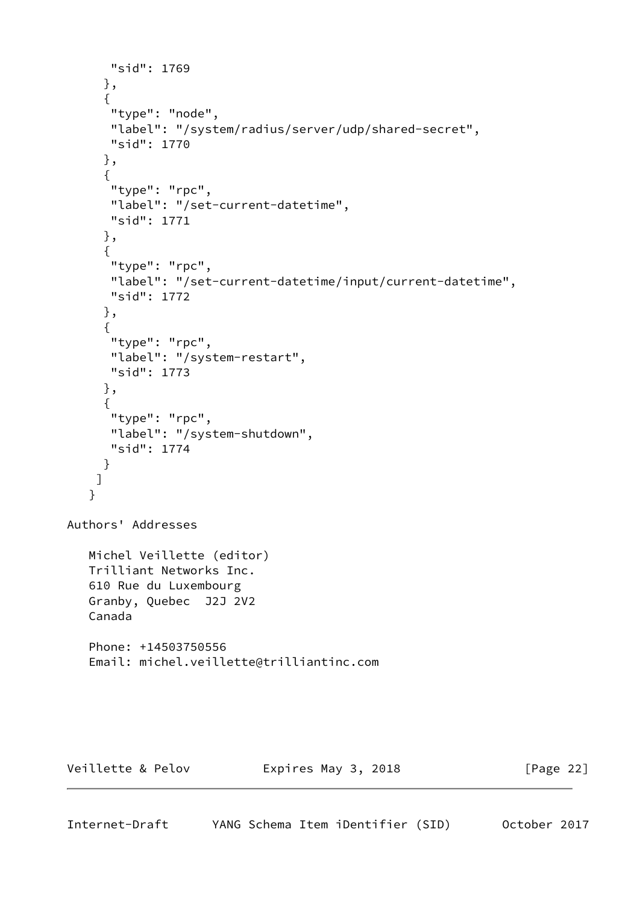```
 "sid": 1769
      },
      {
       "type": "node",
       "label": "/system/radius/server/udp/shared-secret",
      "sid": 1770
      },
      {
       "type": "rpc",
       "label": "/set-current-datetime",
       "sid": 1771
      },
      {
       "type": "rpc",
       "label": "/set-current-datetime/input/current-datetime",
      "sid": 1772
      },
      {
       "type": "rpc",
       "label": "/system-restart",
      "sid": 1773
      },
      {
       "type": "rpc",
      "label": "/system-shutdown",
       "sid": 1774
      }
     ]
    }
Authors' Addresses
    Michel Veillette (editor)
    Trilliant Networks Inc.
    610 Rue du Luxembourg
    Granby, Quebec J2J 2V2
    Canada
    Phone: +14503750556
    Email: michel.veillette@trilliantinc.com
Veillette & Pelov Expires May 3, 2018 [Page 22]
```
Internet-Draft YANG Schema Item iDentifier (SID) October 2017